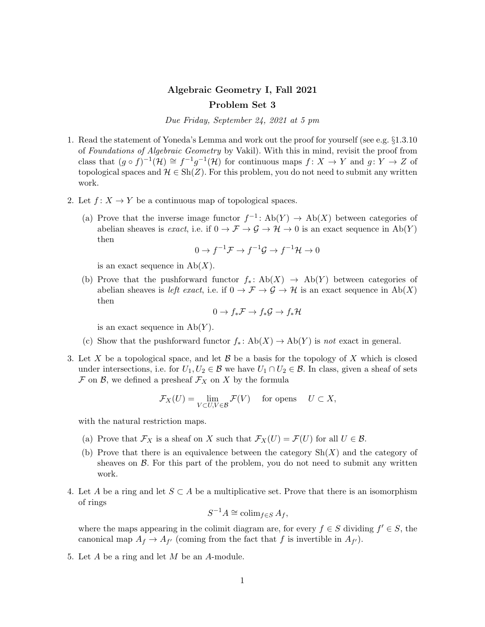## Algebraic Geometry I, Fall 2021 Problem Set 3

Due Friday, September 24, 2021 at 5 pm

- 1. Read the statement of Yoneda's Lemma and work out the proof for yourself (see e.g. §1.3.10 of Foundations of Algebraic Geometry by Vakil). With this in mind, revisit the proof from class that  $(g \circ f)^{-1}(\mathcal{H}) \cong f^{-1}g^{-1}(\mathcal{H})$  for continuous maps  $f: X \to Y$  and  $g: Y \to Z$  of topological spaces and  $\mathcal{H} \in \mathrm{Sh}(Z)$ . For this problem, you do not need to submit any written work.
- 2. Let  $f: X \to Y$  be a continuous map of topological spaces.
	- (a) Prove that the inverse image functor  $f^{-1}$ : Ab(Y)  $\rightarrow$  Ab(X) between categories of abelian sheaves is exact, i.e. if  $0 \to \mathcal{F} \to \mathcal{G} \to \mathcal{H} \to 0$  is an exact sequence in  $Ab(Y)$ then

$$
0 \to f^{-1} \mathcal{F} \to f^{-1} \mathcal{G} \to f^{-1} \mathcal{H} \to 0
$$

is an exact sequence in  $Ab(X)$ .

(b) Prove that the pushforward functor  $f_* \colon Ab(X) \to Ab(Y)$  between categories of abelian sheaves is *left exact*, i.e. if  $0 \to \mathcal{F} \to \mathcal{G} \to \mathcal{H}$  is an exact sequence in Ab(X) then

$$
0 \to f_*\mathcal{F} \to f_*\mathcal{G} \to f_*\mathcal{H}
$$

is an exact sequence in  $Ab(Y)$ .

- (c) Show that the pushforward functor  $f_*: Ab(X) \to Ab(Y)$  is not exact in general.
- 3. Let X be a topological space, and let  $\mathcal B$  be a basis for the topology of X which is closed under intersections, i.e. for  $U_1, U_2 \in \mathcal{B}$  we have  $U_1 \cap U_2 \in \mathcal{B}$ . In class, given a sheaf of sets  $\mathcal F$  on  $\mathcal B$ , we defined a presheaf  $\mathcal F_X$  on X by the formula

$$
\mathcal{F}_X(U) = \lim_{V \subset U, V \in \mathcal{B}} \mathcal{F}(V) \quad \text{ for opens } \quad U \subset X,
$$

with the natural restriction maps.

- (a) Prove that  $\mathcal{F}_X$  is a sheaf on X such that  $\mathcal{F}_X(U) = \mathcal{F}(U)$  for all  $U \in \mathcal{B}$ .
- (b) Prove that there is an equivalence between the category  $\text{Sh}(X)$  and the category of sheaves on  $\beta$ . For this part of the problem, you do not need to submit any written work.
- 4. Let A be a ring and let  $S \subset A$  be a multiplicative set. Prove that there is an isomorphism of rings

$$
S^{-1}A \cong \operatorname{colim}_{f \in S} A_f,
$$

where the maps appearing in the colimit diagram are, for every  $f \in S$  dividing  $f' \in S$ , the canonical map  $A_f \to A_{f'}$  (coming from the fact that f is invertible in  $A_{f'}$ ).

5. Let A be a ring and let M be an A-module.